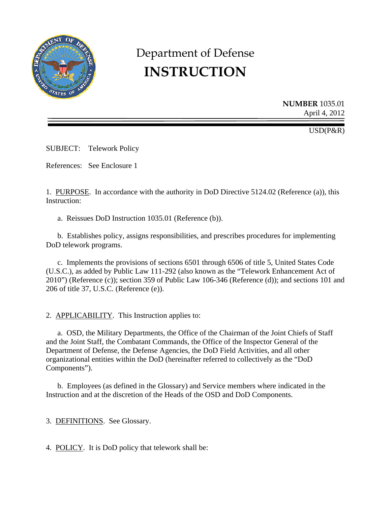

# Department of Defense **INSTRUCTION**

**NUMBER** 1035.01 April 4, 2012

USD(P&R)

SUBJECT: Telework Policy

References: See Enclosure 1

1. PURPOSE. In accordance with the authority in DoD Directive 5124.02 (Reference (a)), this Instruction:

a. Reissues DoD Instruction 1035.01 (Reference (b)).

b. Establishes policy, assigns responsibilities, and prescribes procedures for implementing DoD telework programs.

 c. Implements the provisions of sections 6501 through 6506 of title 5, United States Code (U.S.C.), as added by Public Law 111-292 (also known as the "Telework Enhancement Act of 2010") (Reference (c)); section 359 of Public Law 106-346 (Reference (d)); and sections 101 and 206 of title 37, U.S.C. (Reference (e)).

2. APPLICABILITY. This Instruction applies to:

 a. OSD, the Military Departments, the Office of the Chairman of the Joint Chiefs of Staff and the Joint Staff, the Combatant Commands, the Office of the Inspector General of the Department of Defense, the Defense Agencies, the DoD Field Activities, and all other organizational entities within the DoD (hereinafter referred to collectively as the "DoD Components").

 b. Employees (as defined in the Glossary) and Service members where indicated in the Instruction and at the discretion of the Heads of the OSD and DoD Components.

3. DEFINITIONS. See Glossary.

4. POLICY. It is DoD policy that telework shall be: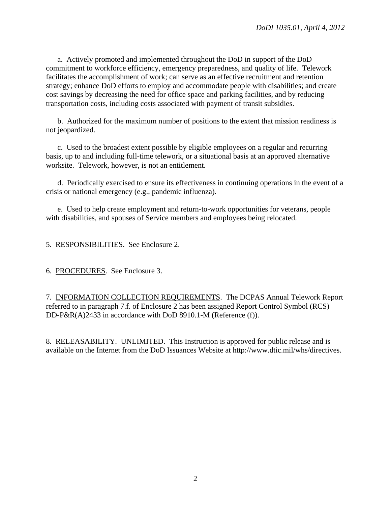a. Actively promoted and implemented throughout the DoD in support of the DoD commitment to workforce efficiency, emergency preparedness, and quality of life. Telework facilitates the accomplishment of work; can serve as an effective recruitment and retention strategy; enhance DoD efforts to employ and accommodate people with disabilities; and create cost savings by decreasing the need for office space and parking facilities, and by reducing transportation costs, including costs associated with payment of transit subsidies.

 b. Authorized for the maximum number of positions to the extent that mission readiness is not jeopardized.

 c. Used to the broadest extent possible by eligible employees on a regular and recurring basis, up to and including full-time telework, or a situational basis at an approved alternative worksite. Telework, however, is not an entitlement.

 d. Periodically exercised to ensure its effectiveness in continuing operations in the event of a crisis or national emergency (e.g., pandemic influenza).

 e. Used to help create employment and return-to-work opportunities for veterans, people with disabilities, and spouses of Service members and employees being relocated.

5. RESPONSIBILITIES. See Enclosure 2.

6. PROCEDURES. See Enclosure 3.

7. INFORMATION COLLECTION REQUIREMENTS. The DCPAS Annual Telework Report referred to in paragraph 7.f. of Enclosure 2 has been assigned Report Control Symbol (RCS) DD-P&R(A)2433 in accordance with DoD 8910.1-M (Reference (f)).

8. RELEASABILITY. UNLIMITED. This Instruction is approved for public release and is available on the Internet from the DoD Issuances Website at http://www.dtic.mil/whs/directives.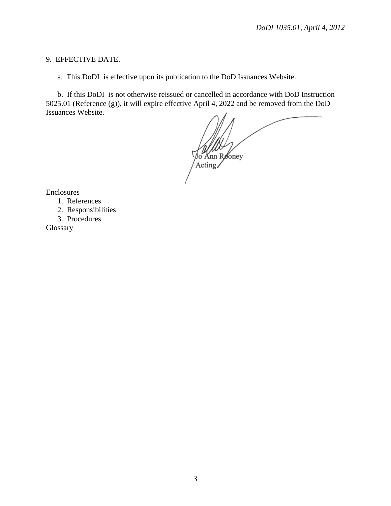#### 9. EFFECTIVE DATE.

a. This DoDI is effective upon its publication to the DoD Issuances Website.

b. If this DoDI is not otherwise reissued or cancelled in accordance with DoD Instruction 5025.01 (Reference (g)), it will expire effective April 4, 2022 and be removed from the DoD Issuances Website.

Knn R∕oney Acting/

Enclosures

1. References

2. Responsibilities

3. Procedures

Glossary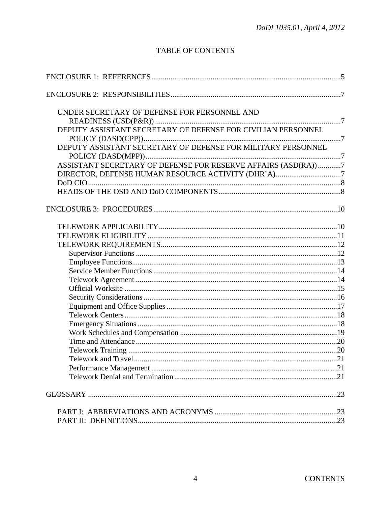## **TABLE OF CONTENTS**

| UNDER SECRETARY OF DEFENSE FOR PERSONNEL AND                  |
|---------------------------------------------------------------|
|                                                               |
| DEPUTY ASSISTANT SECRETARY OF DEFENSE FOR CIVILIAN PERSONNEL  |
|                                                               |
| DEPUTY ASSISTANT SECRETARY OF DEFENSE FOR MILITARY PERSONNEL  |
|                                                               |
| ASSISTANT SECRETARY OF DEFENSE FOR RESERVE AFFAIRS (ASD(RA))7 |
| DIRECTOR, DEFENSE HUMAN RESOURCE ACTIVITY (DHR`A)7            |
|                                                               |
|                                                               |
|                                                               |
|                                                               |
|                                                               |
|                                                               |
|                                                               |
|                                                               |
|                                                               |
|                                                               |
|                                                               |
|                                                               |
|                                                               |
|                                                               |
|                                                               |
|                                                               |
|                                                               |
|                                                               |
| 21                                                            |
|                                                               |
|                                                               |
|                                                               |
|                                                               |
|                                                               |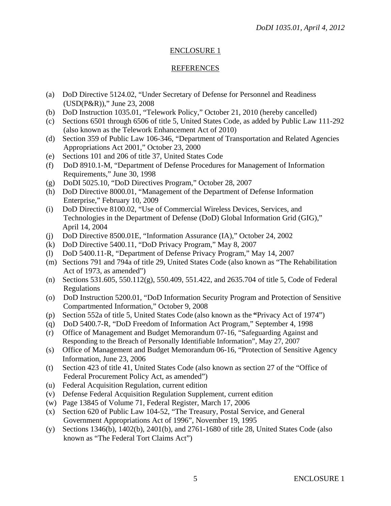## ENCLOSURE 1

## REFERENCES

- (a) DoD Directive 5124.02, "Under Secretary of Defense for Personnel and Readiness (USD(P&R))," June 23, 2008
- (b) DoD Instruction 1035.01, "Telework Policy," October 21, 2010 (hereby cancelled)
- (c) Sections 6501 through 6506 of title 5, United States Code, as added by Public Law 111-292 (also known as the Telework Enhancement Act of 2010)
- (d) Section 359 of Public Law 106-346, "Department of Transportation and Related Agencies Appropriations Act 2001," October 23, 2000
- (e) Sections 101 and 206 of title 37, United States Code
- (f) DoD 8910.1-M, "Department of Defense Procedures for Management of Information Requirements," June 30, 1998
- (g) DoDI 5025.10, "DoD Directives Program," October 28, 2007
- (h) DoD Directive 8000.01, "Management of the Department of Defense Information Enterprise," February 10, 2009
- (i) DoD Directive 8100.02, "Use of Commercial Wireless Devices, Services, and Technologies in the Department of Defense (DoD) Global Information Grid (GIG)," April 14, 2004
- (j) DoD Directive 8500.01E, "Information Assurance (IA)," October 24, 2002
- (k) DoD Directive 5400.11, "DoD Privacy Program," May 8, 2007
- (l) DoD 5400.11-R, "Department of Defense Privacy Program," May 14, 2007
- (m) Sections 791 and 794a of title 29, United States Code (also known as "The Rehabilitation Act of 1973, as amended")
- (n) Sections 531.605, 550.112(g), 550.409, 551.422, and 2635.704 of title 5, Code of Federal Regulations
- (o) DoD Instruction 5200.01, "DoD Information Security Program and Protection of Sensitive Compartmented Information," October 9, 2008
- (p) Section 552a of title 5, United States Code (also known as the **"**Privacy Act of 1974")
- (q) DoD 5400.7-R, "DoD Freedom of Information Act Program," September 4, 1998
- (r) Office of Management and Budget Memorandum 07-16, "Safeguarding Against and Responding to the Breach of Personally Identifiable Information", May 27, 2007
- (s) Office of Management and Budget Memorandum 06-16, "Protection of Sensitive Agency Information, June 23, 2006
- (t) Section 423 of title 41, United States Code (also known as section 27 of the "Office of Federal Procurement Policy Act, as amended")
- (u) Federal Acquisition Regulation, current edition
- (v) Defense Federal Acquisition Regulation Supplement, current edition
- (w) Page 13845 of Volume 71, Federal Register, March 17, 2006
- (x) Section 620 of Public Law 104-52, "The Treasury, Postal Service, and General Government Appropriations Act of 1996", November 19, 1995
- (y) Sections 1346(b), 1402(b), 2401(b), and 2761-1680 of title 28, United States Code (also known as "The Federal Tort Claims Act")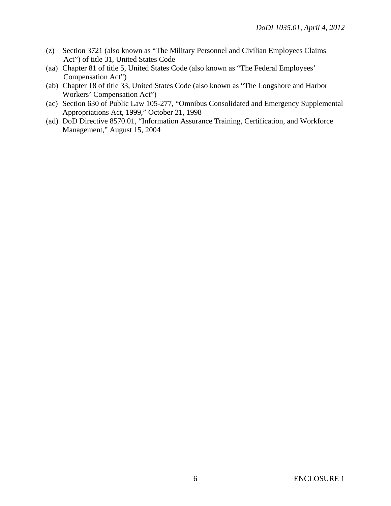- (z) Section 3721 (also known as "The Military Personnel and Civilian Employees Claims Act") of title 31, United States Code
- (aa) Chapter 81 of title 5, United States Code (also known as "The Federal Employees' Compensation Act")
- (ab) Chapter 18 of title 33, United States Code (also known as "The Longshore and Harbor Workers' Compensation Act")
- (ac) Section 630 of Public Law 105-277, "Omnibus Consolidated and Emergency Supplemental Appropriations Act, 1999," October 21, 1998
- (ad) DoD Directive 8570.01, "Information Assurance Training, Certification, and Workforce Management," August 15, 2004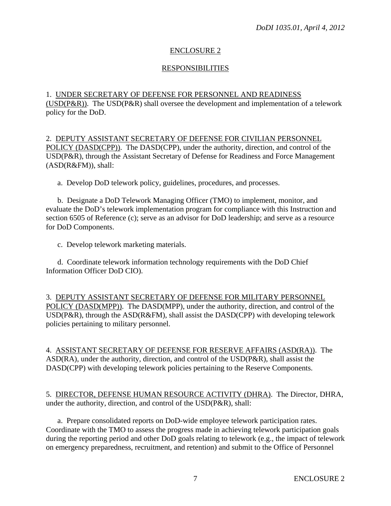#### ENCLOSURE 2

#### RESPONSIBILITIES

## 1. UNDER SECRETARY OF DEFENSE FOR PERSONNEL AND READINESS

(USD(P&R)). The USD(P&R) shall oversee the development and implementation of a telework policy for the DoD.

2. DEPUTY ASSISTANT SECRETARY OF DEFENSE FOR CIVILIAN PERSONNEL POLICY (DASD(CPP)). The DASD(CPP), under the authority, direction, and control of the USD(P&R), through the Assistant Secretary of Defense for Readiness and Force Management (ASD(R&FM)), shall:

a. Develop DoD telework policy, guidelines, procedures, and processes.

 b. Designate a DoD Telework Managing Officer (TMO) to implement, monitor, and evaluate the DoD's telework implementation program for compliance with this Instruction and section 6505 of Reference (c); serve as an advisor for DoD leadership; and serve as a resource for DoD Components.

c. Develop telework marketing materials.

 d. Coordinate telework information technology requirements with the DoD Chief Information Officer DoD CIO).

3. DEPUTY ASSISTANT SECRETARY OF DEFENSE FOR MILITARY PERSONNEL POLICY (DASD(MPP)). The DASD(MPP), under the authority, direction, and control of the USD(P&R), through the ASD(R&FM), shall assist the DASD(CPP) with developing telework policies pertaining to military personnel.

4. ASSISTANT SECRETARY OF DEFENSE FOR RESERVE AFFAIRS (ASD(RA)). The ASD(RA), under the authority, direction, and control of the USD(P&R), shall assist the DASD(CPP) with developing telework policies pertaining to the Reserve Components.

5. DIRECTOR, DEFENSE HUMAN RESOURCE ACTIVITY (DHRA). The Director, DHRA, under the authority, direction, and control of the USD(P&R), shall:

 a. Prepare consolidated reports on DoD-wide employee telework participation rates. Coordinate with the TMO to assess the progress made in achieving telework participation goals during the reporting period and other DoD goals relating to telework (e.g., the impact of telework on emergency preparedness, recruitment, and retention) and submit to the Office of Personnel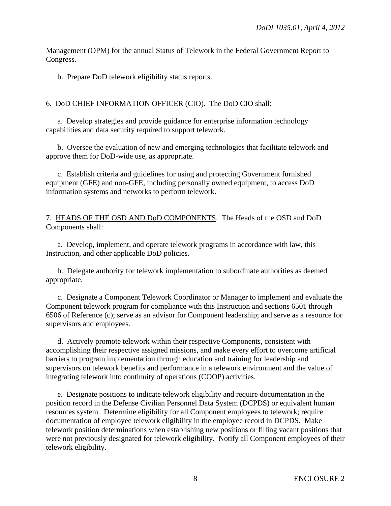Management (OPM) for the annual Status of Telework in the Federal Government Report to Congress.

b. Prepare DoD telework eligibility status reports.

## 6. DoD CHIEF INFORMATION OFFICER (CIO). The DoD CIO shall:

 a. Develop strategies and provide guidance for enterprise information technology capabilities and data security required to support telework.

 b. Oversee the evaluation of new and emerging technologies that facilitate telework and approve them for DoD-wide use, as appropriate.

 c. Establish criteria and guidelines for using and protecting Government furnished equipment (GFE) and non-GFE, including personally owned equipment, to access DoD information systems and networks to perform telework.

7. HEADS OF THE OSD AND DoD COMPONENTS. The Heads of the OSD and DoD Components shall:

 a. Develop, implement, and operate telework programs in accordance with law, this Instruction, and other applicable DoD policies.

 b. Delegate authority for telework implementation to subordinate authorities as deemed appropriate.

 c. Designate a Component Telework Coordinator or Manager to implement and evaluate the Component telework program for compliance with this Instruction and sections 6501 through 6506 of Reference (c); serve as an advisor for Component leadership; and serve as a resource for supervisors and employees.

 d. Actively promote telework within their respective Components, consistent with accomplishing their respective assigned missions, and make every effort to overcome artificial barriers to program implementation through education and training for leadership and supervisors on telework benefits and performance in a telework environment and the value of integrating telework into continuity of operations (COOP) activities.

 e. Designate positions to indicate telework eligibility and require documentation in the position record in the Defense Civilian Personnel Data System (DCPDS) or equivalent human resources system. Determine eligibility for all Component employees to telework; require documentation of employee telework eligibility in the employee record in DCPDS. Make telework position determinations when establishing new positions or filling vacant positions that were not previously designated for telework eligibility. Notify all Component employees of their telework eligibility.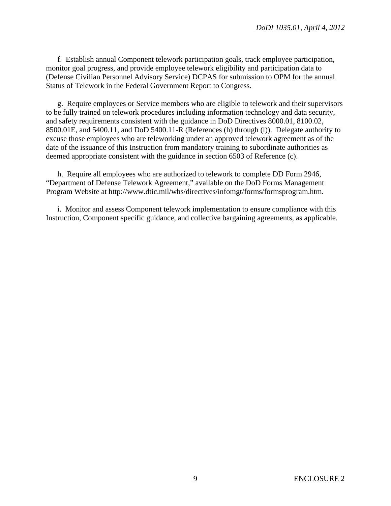f. Establish annual Component telework participation goals, track employee participation, monitor goal progress, and provide employee telework eligibility and participation data to (Defense Civilian Personnel Advisory Service) DCPAS for submission to OPM for the annual Status of Telework in the Federal Government Report to Congress.

 g. Require employees or Service members who are eligible to telework and their supervisors to be fully trained on telework procedures including information technology and data security, and safety requirements consistent with the guidance in DoD Directives 8000.01, 8100.02, 8500.01E, and 5400.11, and DoD 5400.11-R (References (h) through (l)). Delegate authority to excuse those employees who are teleworking under an approved telework agreement as of the date of the issuance of this Instruction from mandatory training to subordinate authorities as deemed appropriate consistent with the guidance in section 6503 of Reference (c).

 h. Require all employees who are authorized to telework to complete DD Form 2946, "Department of Defense Telework Agreement," available on the DoD Forms Management Program Website at http://www.dtic.mil/whs/directives/infomgt/forms/formsprogram.htm.

 i. Monitor and assess Component telework implementation to ensure compliance with this Instruction, Component specific guidance, and collective bargaining agreements, as applicable.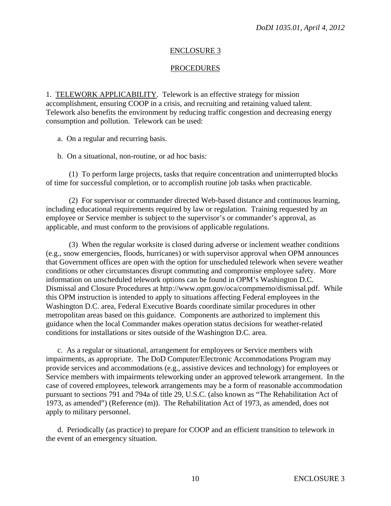#### ENCLOSURE 3

#### **PROCEDURES**

1. TELEWORK APPLICABILITY. Telework is an effective strategy for mission accomplishment, ensuring COOP in a crisis, and recruiting and retaining valued talent. Telework also benefits the environment by reducing traffic congestion and decreasing energy consumption and pollution. Telework can be used:

a. On a regular and recurring basis.

b. On a situational, non-routine, or ad hoc basis:

 (1) To perform large projects, tasks that require concentration and uninterrupted blocks of time for successful completion, or to accomplish routine job tasks when practicable.

 (2) For supervisor or commander directed Web-based distance and continuous learning, including educational requirements required by law or regulation. Training requested by an employee or Service member is subject to the supervisor's or commander's approval, as applicable, and must conform to the provisions of applicable regulations.

 (3) When the regular worksite is closed during adverse or inclement weather conditions (e.g., snow emergencies, floods, hurricanes) or with supervisor approval when OPM announces that Government offices are open with the option for unscheduled telework when severe weather conditions or other circumstances disrupt commuting and compromise employee safety. More information on unscheduled telework options can be found in OPM's Washington D.C. Dismissal and Closure Procedures at http://www.opm.gov/oca/compmemo/dismissal.pdf. While this OPM instruction is intended to apply to situations affecting Federal employees in the Washington D.C. area, Federal Executive Boards coordinate similar procedures in other metropolitan areas based on this guidance. Components are authorized to implement this guidance when the local Commander makes operation status decisions for weather-related conditions for installations or sites outside of the Washington D.C. area.

 c. As a regular or situational, arrangement for employees or Service members with impairments, as appropriate. The DoD Computer/Electronic Accommodations Program may provide services and accommodations (e.g., assistive devices and technology) for employees or Service members with impairments teleworking under an approved telework arrangement. In the case of covered employees, telework arrangements may be a form of reasonable accommodation pursuant to sections 791 and 794a of title 29, U.S.C. (also known as "The Rehabilitation Act of 1973, as amended") (Reference (m)). The Rehabilitation Act of 1973, as amended, does not apply to military personnel.

 d. Periodically (as practice) to prepare for COOP and an efficient transition to telework in the event of an emergency situation.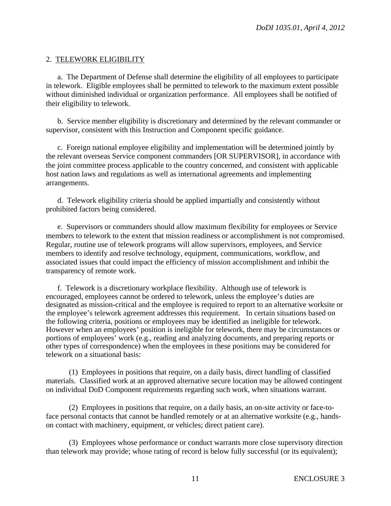#### 2. TELEWORK ELIGIBILITY

 a. The Department of Defense shall determine the eligibility of all employees to participate in telework. Eligible employees shall be permitted to telework to the maximum extent possible without diminished individual or organization performance. All employees shall be notified of their eligibility to telework.

 b. Service member eligibility is discretionary and determined by the relevant commander or supervisor, consistent with this Instruction and Component specific guidance.

 c. Foreign national employee eligibility and implementation will be determined jointly by the relevant overseas Service component commanders [OR SUPERVISOR], in accordance with the joint committee process applicable to the country concerned, and consistent with applicable host nation laws and regulations as well as international agreements and implementing arrangements.

 d. Telework eligibility criteria should be applied impartially and consistently without prohibited factors being considered.

 e. Supervisors or commanders should allow maximum flexibility for employees or Service members to telework to the extent that mission readiness or accomplishment is not compromised. Regular, routine use of telework programs will allow supervisors, employees, and Service members to identify and resolve technology, equipment, communications, workflow, and associated issues that could impact the efficiency of mission accomplishment and inhibit the transparency of remote work.

 f. Telework is a discretionary workplace flexibility. Although use of telework is encouraged, employees cannot be ordered to telework, unless the employee's duties are designated as mission-critical and the employee is required to report to an alternative worksite or the employee's telework agreement addresses this requirement. In certain situations based on the following criteria, positions or employees may be identified as ineligible for telework. However when an employees' position is ineligible for telework, there may be circumstances or portions of employees' work (e.g., reading and analyzing documents, and preparing reports or other types of correspondence) when the employees in these positions may be considered for telework on a situational basis:

 (1) Employees in positions that require, on a daily basis, direct handling of classified materials. Classified work at an approved alternative secure location may be allowed contingent on individual DoD Component requirements regarding such work, when situations warrant.

 (2) Employees in positions that require, on a daily basis, an on-site activity or face-toface personal contacts that cannot be handled remotely or at an alternative worksite (e.g., handson contact with machinery, equipment, or vehicles; direct patient care).

 (3) Employees whose performance or conduct warrants more close supervisory direction than telework may provide; whose rating of record is below fully successful (or its equivalent);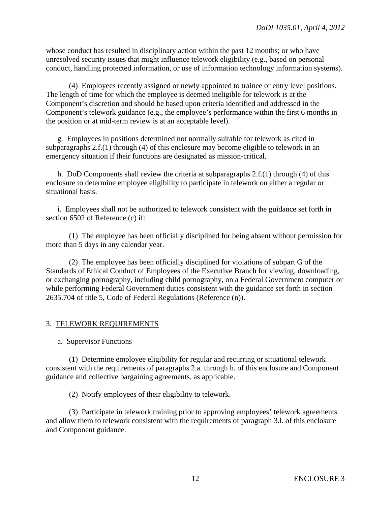whose conduct has resulted in disciplinary action within the past 12 months; or who have unresolved security issues that might influence telework eligibility (e.g., based on personal conduct, handling protected information, or use of information technology information systems).

 (4) Employees recently assigned or newly appointed to trainee or entry level positions. The length of time for which the employee is deemed ineligible for telework is at the Component's discretion and should be based upon criteria identified and addressed in the Component's telework guidance (e.g., the employee's performance within the first 6 months in the position or at mid-term review is at an acceptable level).

g*.* Employees in positions determined not normally suitable for telework as cited in subparagraphs 2.f.(1) through (4) of this enclosure may become eligible to telework in an emergency situation if their functions are designated as mission-critical.

 h. DoD Components shall review the criteria at subparagraphs 2.f.(1) through (4) of this enclosure to determine employee eligibility to participate in telework on either a regular or situational basis.

i. Employees shall not be authorized to telework consistent with the guidance set forth in section 6502 of Reference (c) if:

 (1) The employee has been officially disciplined for being absent without permission for more than 5 days in any calendar year.

 (2) The employee has been officially disciplined for violations of subpart G of the Standards of Ethical Conduct of Employees of the Executive Branch for viewing, downloading, or exchanging pornography, including child pornography, on a Federal Government computer or while performing Federal Government duties consistent with the guidance set forth in section 2635.704 of title 5, Code of Federal Regulations (Reference (n)).

## 3. TELEWORK REQUIREMENTS

## a. Supervisor Functions

 (1) Determine employee eligibility for regular and recurring or situational telework consistent with the requirements of paragraphs 2.a. through h. of this enclosure and Component guidance and collective bargaining agreements, as applicable.

(2) Notify employees of their eligibility to telework.

 (3) Participate in telework training prior to approving employees' telework agreements and allow them to telework consistent with the requirements of paragraph 3.l. of this enclosure and Component guidance.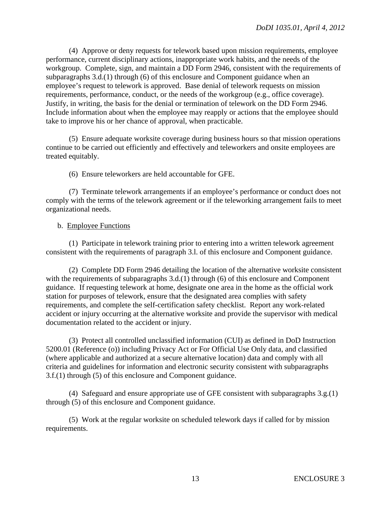(4) Approve or deny requests for telework based upon mission requirements, employee performance, current disciplinary actions, inappropriate work habits, and the needs of the workgroup. Complete, sign, and maintain a DD Form 2946, consistent with the requirements of subparagraphs 3.d.(1) through (6) of this enclosure and Component guidance when an employee's request to telework is approved. Base denial of telework requests on mission requirements, performance, conduct, or the needs of the workgroup (e.g., office coverage). Justify, in writing, the basis for the denial or termination of telework on the DD Form 2946. Include information about when the employee may reapply or actions that the employee should take to improve his or her chance of approval, when practicable.

 (5) Ensure adequate worksite coverage during business hours so that mission operations continue to be carried out efficiently and effectively and teleworkers and onsite employees are treated equitably.

(6) Ensure teleworkers are held accountable for GFE.

 (7) Terminate telework arrangements if an employee's performance or conduct does not comply with the terms of the telework agreement or if the teleworking arrangement fails to meet organizational needs.

#### b. Employee Functions

 (1) Participate in telework training prior to entering into a written telework agreement consistent with the requirements of paragraph 3.l. of this enclosure and Component guidance.

 (2) Complete DD Form 2946 detailing the location of the alternative worksite consistent with the requirements of subparagraphs 3.d.(1) through (6) of this enclosure and Component guidance. If requesting telework at home, designate one area in the home as the official work station for purposes of telework, ensure that the designated area complies with safety requirements, and complete the self-certification safety checklist. Report any work-related accident or injury occurring at the alternative worksite and provide the supervisor with medical documentation related to the accident or injury.

 (3) Protect all controlled unclassified information (CUI) as defined in DoD Instruction 5200.01 (Reference (o)) including Privacy Act or For Official Use Only data, and classified (where applicable and authorized at a secure alternative location) data and comply with all criteria and guidelines for information and electronic security consistent with subparagraphs 3.f.(1) through (5) of this enclosure and Component guidance.

 (4) Safeguard and ensure appropriate use of GFE consistent with subparagraphs 3.g.(1) through (5) of this enclosure and Component guidance.

 (5) Work at the regular worksite on scheduled telework days if called for by mission requirements.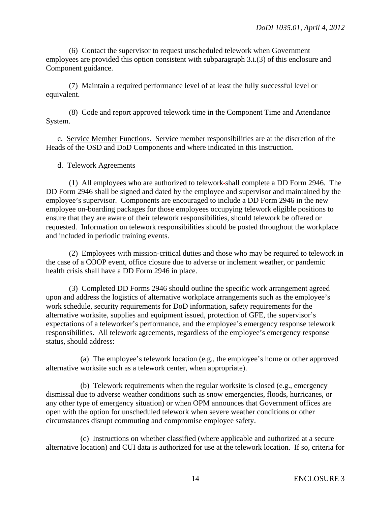(6) Contact the supervisor to request unscheduled telework when Government employees are provided this option consistent with subparagraph 3.i.(3) of this enclosure and Component guidance.

 (7) Maintain a required performance level of at least the fully successful level or equivalent.

 (8) Code and report approved telework time in the Component Time and Attendance System.

 c. Service Member Functions. Service member responsibilities are at the discretion of the Heads of the OSD and DoD Components and where indicated in this Instruction.

#### d. Telework Agreements

 (1) All employees who are authorized to telework shall complete a DD Form 2946. The DD Form 2946 shall be signed and dated by the employee and supervisor and maintained by the employee's supervisor. Components are encouraged to include a DD Form 2946 in the new employee on-boarding packages for those employees occupying telework eligible positions to ensure that they are aware of their telework responsibilities, should telework be offered or requested. Information on telework responsibilities should be posted throughout the workplace and included in periodic training events.

 (2) Employees with mission-critical duties and those who may be required to telework in the case of a COOP event, office closure due to adverse or inclement weather, or pandemic health crisis shall have a DD Form 2946 in place.

 (3) Completed DD Forms 2946 should outline the specific work arrangement agreed upon and address the logistics of alternative workplace arrangements such as the employee's work schedule, security requirements for DoD information, safety requirements for the alternative worksite, supplies and equipment issued, protection of GFE, the supervisor's expectations of a teleworker's performance, and the employee's emergency response telework responsibilities. All telework agreements, regardless of the employee's emergency response status, should address:

 (a) The employee's telework location (e.g., the employee's home or other approved alternative worksite such as a telework center, when appropriate).

 (b) Telework requirements when the regular worksite is closed (e.g., emergency dismissal due to adverse weather conditions such as snow emergencies, floods, hurricanes, or any other type of emergency situation) or when OPM announces that Government offices are open with the option for unscheduled telework when severe weather conditions or other circumstances disrupt commuting and compromise employee safety.

 (c) Instructions on whether classified (where applicable and authorized at a secure alternative location) and CUI data is authorized for use at the telework location. If so, criteria for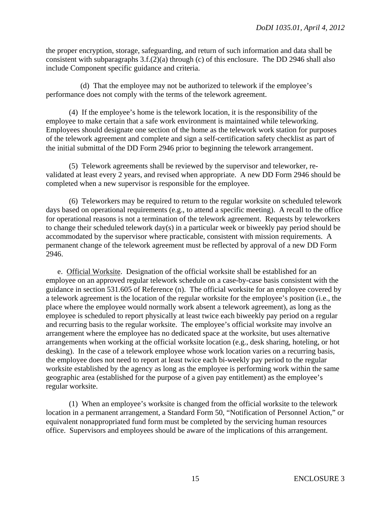the proper encryption, storage, safeguarding, and return of such information and data shall be consistent with subparagraphs 3.f.(2)(a) through (c) of this enclosure. The DD 2946 shall also include Component specific guidance and criteria.

(d) That the employee may not be authorized to telework if the employee's performance does not comply with the terms of the telework agreement.

 (4) If the employee's home is the telework location, it is the responsibility of the employee to make certain that a safe work environment is maintained while teleworking. Employees should designate one section of the home as the telework work station for purposes of the telework agreement and complete and sign a self-certification safety checklist as part of the initial submittal of the DD Form 2946 prior to beginning the telework arrangement.

 (5) Telework agreements shall be reviewed by the supervisor and teleworker, revalidated at least every 2 years, and revised when appropriate. A new DD Form 2946 should be completed when a new supervisor is responsible for the employee*.*

 (6) Teleworkers may be required to return to the regular worksite on scheduled telework days based on operational requirements (e.g., to attend a specific meeting). A recall to the office for operational reasons is not a termination of the telework agreement. Requests by teleworkers to change their scheduled telework day(s) in a particular week or biweekly pay period should be accommodated by the supervisor where practicable, consistent with mission requirements. A permanent change of the telework agreement must be reflected by approval of a new DD Form 2946.

 e. Official Worksite. Designation of the official worksite shall be established for an employee on an approved regular telework schedule on a case-by-case basis consistent with the guidance in section 531.605 of Reference (n). The official worksite for an employee covered by a telework agreement is the location of the regular worksite for the employee's position (i.e., the place where the employee would normally work absent a telework agreement), as long as the employee is scheduled to report physically at least twice each biweekly pay period on a regular and recurring basis to the regular worksite. The employee's official worksite may involve an arrangement where the employee has no dedicated space at the worksite, but uses alternative arrangements when working at the official worksite location (e.g., desk sharing, hoteling, or hot desking). In the case of a telework employee whose work location varies on a recurring basis, the employee does not need to report at least twice each bi-weekly pay period to the regular worksite established by the agency as long as the employee is performing work within the same geographic area (established for the purpose of a given pay entitlement) as the employee's regular worksite.

 (1) When an employee's worksite is changed from the official worksite to the telework location in a permanent arrangement, a Standard Form 50, "Notification of Personnel Action," or equivalent nonappropriated fund form must be completed by the servicing human resources office. Supervisors and employees should be aware of the implications of this arrangement.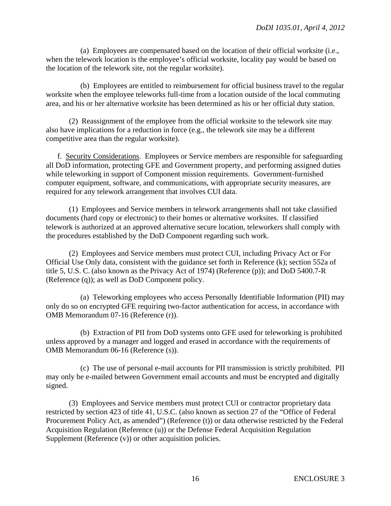(a) Employees are compensated based on the location of their official worksite (i.e., when the telework location is the employee's official worksite, locality pay would be based on the location of the telework site, not the regular worksite).

 (b) Employees are entitled to reimbursement for official business travel to the regular worksite when the employee teleworks full-time from a location outside of the local commuting area, and his or her alternative worksite has been determined as his or her official duty station.

 (2) Reassignment of the employee from the official worksite to the telework site may also have implications for a reduction in force (e.g., the telework site may be a different competitive area than the regular worksite).

 f. Security Considerations. Employees or Service members are responsible for safeguarding all DoD information, protecting GFE and Government property, and performing assigned duties while teleworking in support of Component mission requirements. Government-furnished computer equipment, software, and communications, with appropriate security measures, are required for any telework arrangement that involves CUI data.

 (1) Employees and Service members in telework arrangements shall not take classified documents (hard copy or electronic) to their homes or alternative worksites. If classified telework is authorized at an approved alternative secure location, teleworkers shall comply with the procedures established by the DoD Component regarding such work.

 (2) Employees and Service members must protect CUI, including Privacy Act or For Official Use Only data, consistent with the guidance set forth in Reference (k); section 552a of title 5, U.S. C. (also known as the Privacy Act of 1974) (Reference (p)); and DoD 5400.7-R (Reference (q)); as well as DoD Component policy.

 (a) Teleworking employees who access Personally Identifiable Information (PII) may only do so on encrypted GFE requiring two-factor authentication for access, in accordance with OMB Memorandum 07-16 (Reference (r)).

 (b) Extraction of PII from DoD systems onto GFE used for teleworking is prohibited unless approved by a manager and logged and erased in accordance with the requirements of OMB Memorandum 06-16 (Reference (s)).

 (c) The use of personal e-mail accounts for PII transmission is strictly prohibited. PII may only be e-mailed between Government email accounts and must be encrypted and digitally signed.

 (3) Employees and Service members must protect CUI or contractor proprietary data restricted by section 423 of title 41, U.S.C. (also known as section 27 of the "Office of Federal Procurement Policy Act, as amended") (Reference (t)) or data otherwise restricted by the Federal Acquisition Regulation (Reference (u)) or the Defense Federal Acquisition Regulation Supplement (Reference (v)) or other acquisition policies.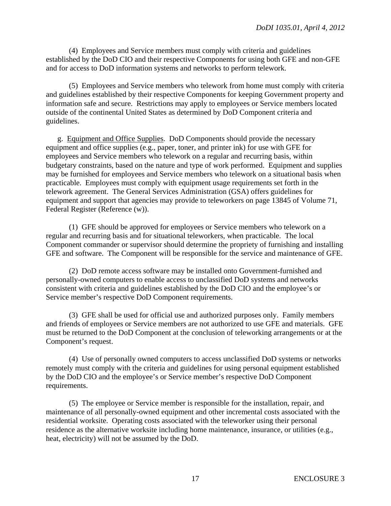(4) Employees and Service members must comply with criteria and guidelines established by the DoD CIO and their respective Components for using both GFE and non-GFE and for access to DoD information systems and networks to perform telework.

 (5) Employees and Service members who telework from home must comply with criteria and guidelines established by their respective Components for keeping Government property and information safe and secure. Restrictions may apply to employees or Service members located outside of the continental United States as determined by DoD Component criteria and guidelines.

 g. Equipment and Office Supplies. DoD Components should provide the necessary equipment and office supplies (e.g., paper, toner, and printer ink) for use with GFE for employees and Service members who telework on a regular and recurring basis, within budgetary constraints, based on the nature and type of work performed. Equipment and supplies may be furnished for employees and Service members who telework on a situational basis when practicable. Employees must comply with equipment usage requirements set forth in the telework agreement. The General Services Administration (GSA) offers guidelines for equipment and support that agencies may provide to teleworkers on page 13845 of Volume 71, Federal Register (Reference (w)).

 (1) GFE should be approved for employees or Service members who telework on a regular and recurring basis and for situational teleworkers, when practicable. The local Component commander or supervisor should determine the propriety of furnishing and installing GFE and software. The Component will be responsible for the service and maintenance of GFE.

 (2) DoD remote access software may be installed onto Government-furnished and personally-owned computers to enable access to unclassified DoD systems and networks consistent with criteria and guidelines established by the DoD CIO and the employee's or Service member's respective DoD Component requirements.

 (3) GFE shall be used for official use and authorized purposes only. Family members and friends of employees or Service members are not authorized to use GFE and materials. GFE must be returned to the DoD Component at the conclusion of teleworking arrangements or at the Component's request.

 (4) Use of personally owned computers to access unclassified DoD systems or networks remotely must comply with the criteria and guidelines for using personal equipment established by the DoD CIO and the employee's or Service member's respective DoD Component requirements.

 (5) The employee or Service member is responsible for the installation, repair, and maintenance of all personally-owned equipment and other incremental costs associated with the residential worksite. Operating costs associated with the teleworker using their personal residence as the alternative worksite including home maintenance, insurance, or utilities (e.g., heat, electricity) will not be assumed by the DoD.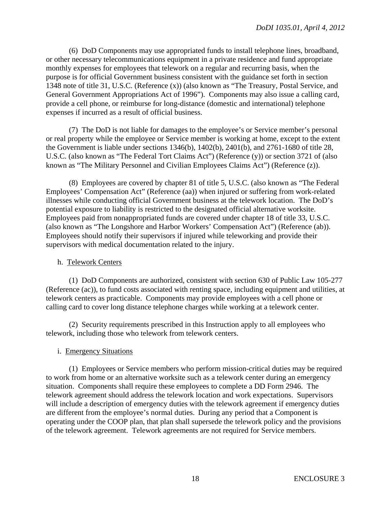(6) DoD Components may use appropriated funds to install telephone lines, broadband, or other necessary telecommunications equipment in a private residence and fund appropriate monthly expenses for employees that telework on a regular and recurring basis, when the purpose is for official Government business consistent with the guidance set forth in section 1348 note of title 31, U.S.C. (Reference (x)) (also known as "The Treasury, Postal Service, and General Government Appropriations Act of 1996"). Components may also issue a calling card, provide a cell phone, or reimburse for long-distance (domestic and international) telephone expenses if incurred as a result of official business.

 (7) The DoD is not liable for damages to the employee's or Service member's personal or real property while the employee or Service member is working at home, except to the extent the Government is liable under sections 1346(b), 1402(b), 2401(b), and 2761-1680 of title 28, U.S.C. (also known as "The Federal Tort Claims Act") (Reference (y)) or section 3721 of (also known as "The Military Personnel and Civilian Employees Claims Act") (Reference (z)).

 (8) Employees are covered by chapter 81 of title 5, U.S.C. (also known as "The Federal Employees' Compensation Act" (Reference (aa)) when injured or suffering from work-related illnesses while conducting official Government business at the telework location. The DoD's potential exposure to liability is restricted to the designated official alternative worksite. Employees paid from nonappropriated funds are covered under chapter 18 of title 33, U.S.C. (also known as "The Longshore and Harbor Workers' Compensation Act") (Reference (ab)). Employees should notify their supervisors if injured while teleworking and provide their supervisors with medical documentation related to the injury.

#### h. Telework Centers

 (1) DoD Components are authorized, consistent with section 630 of Public Law 105-277 (Reference (ac)), to fund costs associated with renting space, including equipment and utilities, at telework centers as practicable. Components may provide employees with a cell phone or calling card to cover long distance telephone charges while working at a telework center.

 (2) Security requirements prescribed in this Instruction apply to all employees who telework, including those who telework from telework centers.

## i. Emergency Situations

 (1) Employees or Service members who perform mission-critical duties may be required to work from home or an alternative worksite such as a telework center during an emergency situation. Components shall require these employees to complete a DD Form 2946. The telework agreement should address the telework location and work expectations. Supervisors will include a description of emergency duties with the telework agreement if emergency duties are different from the employee's normal duties. During any period that a Component is operating under the COOP plan, that plan shall supersede the telework policy and the provisions of the telework agreement. Telework agreements are not required for Service members.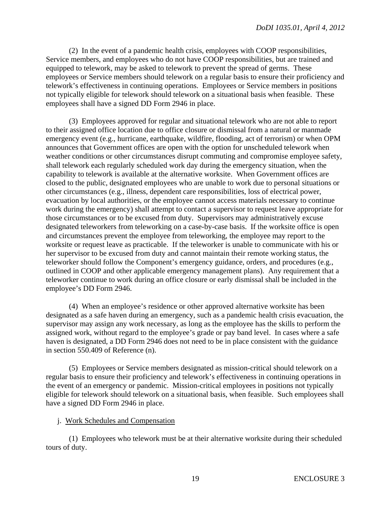(2) In the event of a pandemic health crisis, employees with COOP responsibilities, Service members, and employees who do not have COOP responsibilities, but are trained and equipped to telework, may be asked to telework to prevent the spread of germs. These employees or Service members should telework on a regular basis to ensure their proficiency and telework's effectiveness in continuing operations. Employees or Service members in positions not typically eligible for telework should telework on a situational basis when feasible. These employees shall have a signed DD Form 2946 in place.

 (3) Employees approved for regular and situational telework who are not able to report to their assigned office location due to office closure or dismissal from a natural or manmade emergency event (e.g., hurricane, earthquake, wildfire, flooding, act of terrorism) or when OPM announces that Government offices are open with the option for unscheduled telework when weather conditions or other circumstances disrupt commuting and compromise employee safety, shall telework each regularly scheduled work day during the emergency situation, when the capability to telework is available at the alternative worksite. When Government offices are closed to the public, designated employees who are unable to work due to personal situations or other circumstances (e.g., illness, dependent care responsibilities, loss of electrical power, evacuation by local authorities, or the employee cannot access materials necessary to continue work during the emergency) shall attempt to contact a supervisor to request leave appropriate for those circumstances or to be excused from duty. Supervisors may administratively excuse designated teleworkers from teleworking on a case-by-case basis. If the worksite office is open and circumstances prevent the employee from teleworking, the employee may report to the worksite or request leave as practicable. If the teleworker is unable to communicate with his or her supervisor to be excused from duty and cannot maintain their remote working status, the teleworker should follow the Component's emergency guidance, orders, and procedures (e.g., outlined in COOP and other applicable emergency management plans). Any requirement that a teleworker continue to work during an office closure or early dismissal shall be included in the employee's DD Form 2946.

 (4) When an employee's residence or other approved alternative worksite has been designated as a safe haven during an emergency, such as a pandemic health crisis evacuation, the supervisor may assign any work necessary, as long as the employee has the skills to perform the assigned work, without regard to the employee's grade or pay band level. In cases where a safe haven is designated, a DD Form 2946 does not need to be in place consistent with the guidance in section 550.409 of Reference (n).

 (5) Employees or Service members designated as mission-critical should telework on a regular basis to ensure their proficiency and telework's effectiveness in continuing operations in the event of an emergency or pandemic. Mission-critical employees in positions not typically eligible for telework should telework on a situational basis, when feasible. Such employees shall have a signed DD Form 2946 in place.

#### j. Work Schedules and Compensation

 (1) Employees who telework must be at their alternative worksite during their scheduled tours of duty.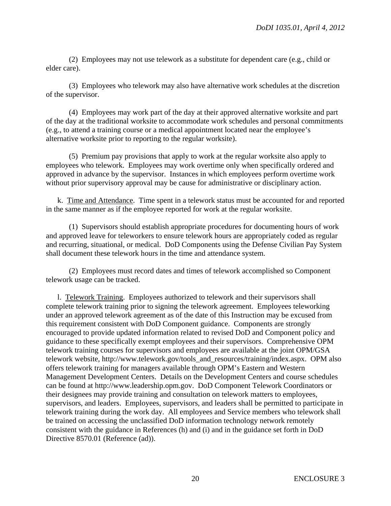(2) Employees may not use telework as a substitute for dependent care (e.g., child or elder care).

 (3) Employees who telework may also have alternative work schedules at the discretion of the supervisor.

 (4) Employees may work part of the day at their approved alternative worksite and part of the day at the traditional worksite to accommodate work schedules and personal commitments (e.g., to attend a training course or a medical appointment located near the employee's alternative worksite prior to reporting to the regular worksite).

 (5) Premium pay provisions that apply to work at the regular worksite also apply to employees who telework. Employees may work overtime only when specifically ordered and approved in advance by the supervisor. Instances in which employees perform overtime work without prior supervisory approval may be cause for administrative or disciplinary action.

 k. Time and Attendance. Time spent in a telework status must be accounted for and reported in the same manner as if the employee reported for work at the regular worksite.

 (1) Supervisors should establish appropriate procedures for documenting hours of work and approved leave for teleworkers to ensure telework hours are appropriately coded as regular and recurring, situational, or medical. DoD Components using the Defense Civilian Pay System shall document these telework hours in the time and attendance system.

 (2) Employees must record dates and times of telework accomplished so Component telework usage can be tracked.

 l. Telework Training. Employees authorized to telework and their supervisors shall complete telework training prior to signing the telework agreement. Employees teleworking under an approved telework agreement as of the date of this Instruction may be excused from this requirement consistent with DoD Component guidance. Components are strongly encouraged to provide updated information related to revised DoD and Component policy and guidance to these specifically exempt employees and their supervisors. Comprehensive OPM telework training courses for supervisors and employees are available at the joint OPM/GSA telework website, http://www.telework.gov/tools\_and\_resources/training/index.aspx. OPM also offers telework training for managers available through OPM's Eastern and Western Management Development Centers. Details on the Development Centers and course schedules can be found at http://www.leadership.opm.gov. DoD Component Telework Coordinators or their designees may provide training and consultation on telework matters to employees, supervisors, and leaders. Employees, supervisors, and leaders shall be permitted to participate in telework training during the work day. All employees and Service members who telework shall be trained on accessing the unclassified DoD information technology network remotely consistent with the guidance in References (h) and (i) and in the guidance set forth in DoD Directive 8570.01 (Reference (ad)).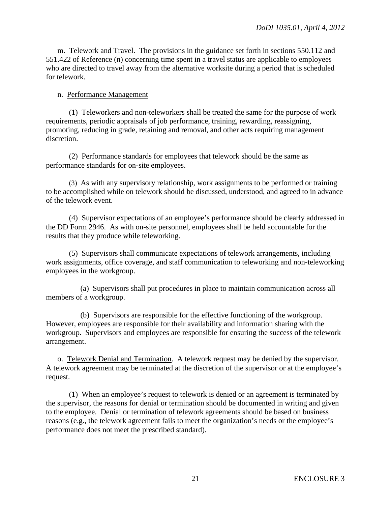m. Telework and Travel. The provisions in the guidance set forth in sections 550.112 and 551.422 of Reference (n) concerning time spent in a travel status are applicable to employees who are directed to travel away from the alternative worksite during a period that is scheduled for telework.

#### n. Performance Management

 (1) Teleworkers and non-teleworkers shall be treated the same for the purpose of work requirements, periodic appraisals of job performance, training, rewarding, reassigning, promoting, reducing in grade, retaining and removal, and other acts requiring management discretion.

 (2) Performance standards for employees that telework should be the same as performance standards for on-site employees.

 (3) As with any supervisory relationship, work assignments to be performed or training to be accomplished while on telework should be discussed, understood, and agreed to in advance of the telework event.

 (4) Supervisor expectations of an employee's performance should be clearly addressed in the DD Form 2946. As with on-site personnel, employees shall be held accountable for the results that they produce while teleworking.

 (5) Supervisors shall communicate expectations of telework arrangements, including work assignments, office coverage, and staff communication to teleworking and non-teleworking employees in the workgroup.

 (a) Supervisors shall put procedures in place to maintain communication across all members of a workgroup.

 (b) Supervisors are responsible for the effective functioning of the workgroup. However, employees are responsible for their availability and information sharing with the workgroup. Supervisors and employees are responsible for ensuring the success of the telework arrangement.

 o. Telework Denial and Termination. A telework request may be denied by the supervisor. A telework agreement may be terminated at the discretion of the supervisor or at the employee's request.

 (1) When an employee's request to telework is denied or an agreement is terminated by the supervisor, the reasons for denial or termination should be documented in writing and given to the employee. Denial or termination of telework agreements should be based on business reasons (e.g., the telework agreement fails to meet the organization's needs or the employee's performance does not meet the prescribed standard).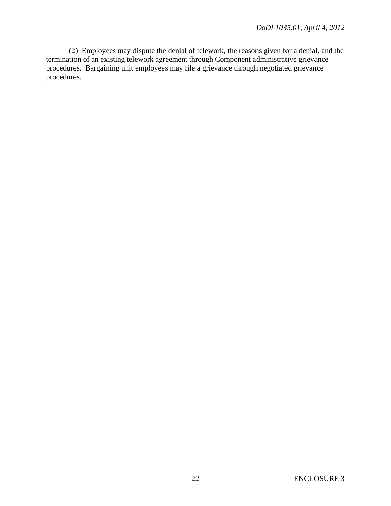(2) Employees may dispute the denial of telework, the reasons given for a denial, and the termination of an existing telework agreement through Component administrative grievance procedures. Bargaining unit employees may file a grievance through negotiated grievance procedures.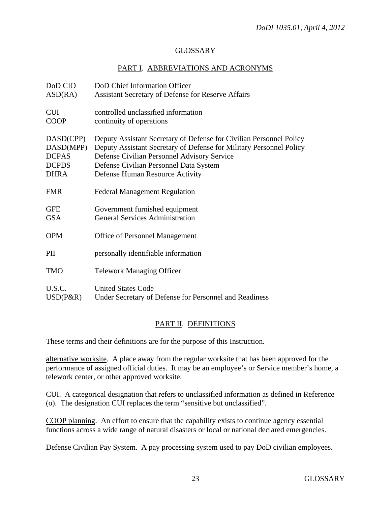## GLOSSARY

## PART I. ABBREVIATIONS AND ACRONYMS

| DoD CIO      | DoD Chief Information Officer                                       |
|--------------|---------------------------------------------------------------------|
| ASD(RA)      | <b>Assistant Secretary of Defense for Reserve Affairs</b>           |
| <b>CUI</b>   | controlled unclassified information                                 |
| <b>COOP</b>  | continuity of operations                                            |
| DASD(CPP)    | Deputy Assistant Secretary of Defense for Civilian Personnel Policy |
| DASD(MPP)    | Deputy Assistant Secretary of Defense for Military Personnel Policy |
| <b>DCPAS</b> | Defense Civilian Personnel Advisory Service                         |
| <b>DCPDS</b> | Defense Civilian Personnel Data System                              |
| <b>DHRA</b>  | Defense Human Resource Activity                                     |
| <b>FMR</b>   | <b>Federal Management Regulation</b>                                |
| <b>GFE</b>   | Government furnished equipment                                      |
| <b>GSA</b>   | <b>General Services Administration</b>                              |
| <b>OPM</b>   | <b>Office of Personnel Management</b>                               |
| PII          | personally identifiable information                                 |
| <b>TMO</b>   | <b>Telework Managing Officer</b>                                    |
| U.S.C.       | <b>United States Code</b>                                           |
| $USD(P\&R)$  | Under Secretary of Defense for Personnel and Readiness              |

## PART II. DEFINITIONS

These terms and their definitions are for the purpose of this Instruction.

alternative worksite. A place away from the regular worksite that has been approved for the performance of assigned official duties. It may be an employee's or Service member's home, a telework center, or other approved worksite.

CUI. A categorical designation that refers to unclassified information as defined in Reference (o). The designation CUI replaces the term "sensitive but unclassified".

COOP planning. An effort to ensure that the capability exists to continue agency essential functions across a wide range of natural disasters or local or national declared emergencies.

Defense Civilian Pay System. A pay processing system used to pay DoD civilian employees.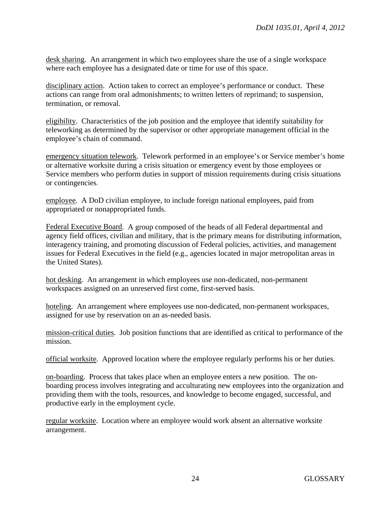desk sharing. An arrangement in which two employees share the use of a single workspace where each employee has a designated date or time for use of this space.

disciplinary action. Action taken to correct an employee's performance or conduct. These actions can range from oral admonishments; to written letters of reprimand; to suspension, termination, or removal.

eligibility. Characteristics of the job position and the employee that identify suitability for teleworking as determined by the supervisor or other appropriate management official in the employee's chain of command.

emergency situation telework. Telework performed in an employee's or Service member's home or alternative worksite during a crisis situation or emergency event by those employees or Service members who perform duties in support of mission requirements during crisis situations or contingencies*.*

employee. A DoD civilian employee, to include foreign national employees, paid from appropriated or nonappropriated funds.

Federal Executive Board. A group composed of the heads of all Federal departmental and agency field offices, civilian and military, that is the primary means for distributing information, interagency training, and promoting discussion of Federal policies, activities, and management issues for Federal Executives in the field (e.g., agencies located in major metropolitan areas in the United States).

hot desking. An arrangement in which employees use non-dedicated, non-permanent workspaces assigned on an unreserved first come, first-served basis.

hoteling. An arrangement where employees use non-dedicated, non-permanent workspaces, assigned for use by reservation on an as-needed basis.

mission-critical duties. Job position functions that are identified as critical to performance of the mission.

official worksite. Approved location where the employee regularly performs his or her duties.

on-boarding. Process that takes place when an employee enters a new position. The onboarding process involves integrating and acculturating new employees into the organization and providing them with the tools, resources, and knowledge to become engaged, successful, and productive early in the employment cycle.

regular worksite. Location where an employee would work absent an alternative worksite arrangement.